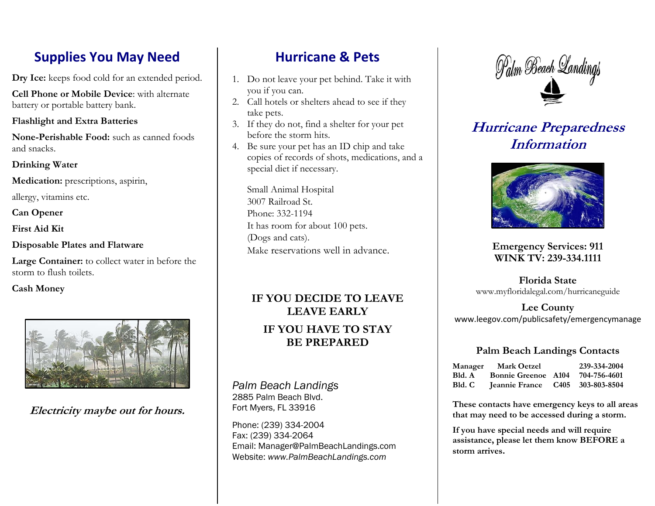## **Supplies You May Need**

**Dry Ice:** keeps food cold for an extended period.

**Cell Phone or Mobile Device**: with alternate battery or portable battery bank.

**Flashlight and Extra Batteries**

**None-Perishable Food:** such as canned foods and snacks.

**Drinking Water**

**Medication:** prescriptions, aspirin,

allergy, vitamins etc.

**Can Opener**

**First Aid Kit**

**Disposable Plates and Flatware**

**Large Container:** to collect water in before the storm to flush toilets.

**Cash Money**



**Electricity maybe out for hours.**

## **Hurricane & Pets**

- 1. Do not leave your pet behind. Take it with you if you can.
- 2. Call hotels or shelters ahead to see if they take pets.
- 3. If they do not, find a shelter for your pet before the storm hits.
- 4. Be sure your pet has an ID chip and take copies of records of shots, medications, and a special diet if necessary.

Small Animal Hospital 3007 Railroad St. Phone: 332-1194 It has room for about 100 pets. (Dogs and cats). Make reservations well in advance.

### **IF YOU DECIDE TO LEAVE LEAVE EARLY IF YOU HAVE TO STAY BE PREPARED**

*Palm Beach Landings* 2885 Palm Beach Blvd. Fort Myers, FL 33916

Phone: (239) 334-2004 Fax: (239) 334-2064 Email: Manager@PalmBeachLandings.com Website: *[www.PalmBeachLandings.com](http://www.palmbeachlandings.com/)*



# **Hurricane Preparedness Information**



**Emergency Services: 911 WINK TV: 239-334.1111**

**Florida State** [www.myfloridalegal.com/hurricaneguide](http://www.myfloridalegal.com/hurricaneguide)

**Lee County** www.leegov.com/publicsafety/emergencymanage

#### **Palm Beach Landings Contacts**

| Manager | <b>Mark Oetzel</b>                      | 239-334-2004 |
|---------|-----------------------------------------|--------------|
| Bld. A  | <b>Bonnie Greenoe</b> A104 704-756-4601 |              |
| Bld. C  | Jeannie France C405 303-803-8504        |              |

**These contacts have emergency keys to all areas that may need to be accessed during a storm.**

**If you have special needs and will require assistance, please let them know BEFORE a storm arrives.**